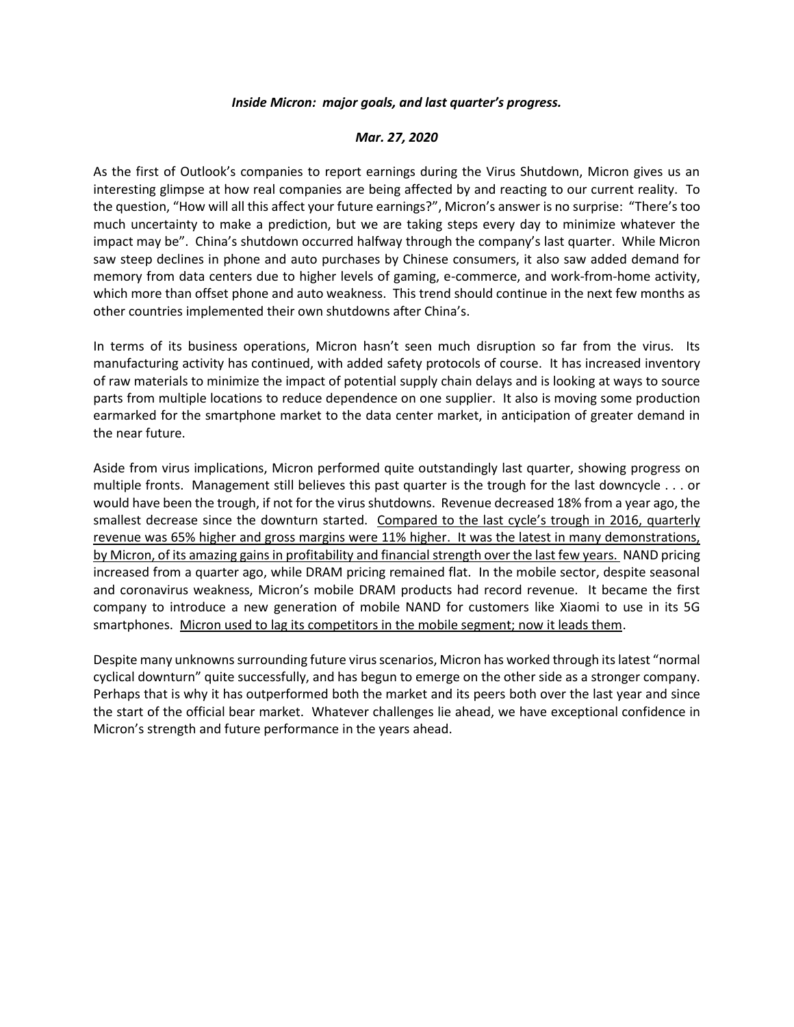## *Inside Micron: major goals, and last quarter's progress.*

## *Mar. 27, 2020*

As the first of Outlook's companies to report earnings during the Virus Shutdown, Micron gives us an interesting glimpse at how real companies are being affected by and reacting to our current reality. To the question, "How will all this affect your future earnings?", Micron's answer is no surprise: "There's too much uncertainty to make a prediction, but we are taking steps every day to minimize whatever the impact may be". China's shutdown occurred halfway through the company's last quarter. While Micron saw steep declines in phone and auto purchases by Chinese consumers, it also saw added demand for memory from data centers due to higher levels of gaming, e-commerce, and work-from-home activity, which more than offset phone and auto weakness. This trend should continue in the next few months as other countries implemented their own shutdowns after China's.

In terms of its business operations, Micron hasn't seen much disruption so far from the virus. Its manufacturing activity has continued, with added safety protocols of course. It has increased inventory of raw materials to minimize the impact of potential supply chain delays and is looking at ways to source parts from multiple locations to reduce dependence on one supplier. It also is moving some production earmarked for the smartphone market to the data center market, in anticipation of greater demand in the near future.

Aside from virus implications, Micron performed quite outstandingly last quarter, showing progress on multiple fronts. Management still believes this past quarter is the trough for the last downcycle . . . or would have been the trough, if not for the virus shutdowns. Revenue decreased 18% from a year ago, the smallest decrease since the downturn started. Compared to the last cycle's trough in 2016, quarterly revenue was 65% higher and gross margins were 11% higher. It was the latest in many demonstrations, by Micron, of its amazing gains in profitability and financial strength over the last few years. NAND pricing increased from a quarter ago, while DRAM pricing remained flat. In the mobile sector, despite seasonal and coronavirus weakness, Micron's mobile DRAM products had record revenue. It became the first company to introduce a new generation of mobile NAND for customers like Xiaomi to use in its 5G smartphones. Micron used to lag its competitors in the mobile segment; now it leads them.

Despite many unknowns surrounding future virus scenarios, Micron has worked through its latest "normal cyclical downturn" quite successfully, and has begun to emerge on the other side as a stronger company. Perhaps that is why it has outperformed both the market and its peers both over the last year and since the start of the official bear market. Whatever challenges lie ahead, we have exceptional confidence in Micron's strength and future performance in the years ahead.